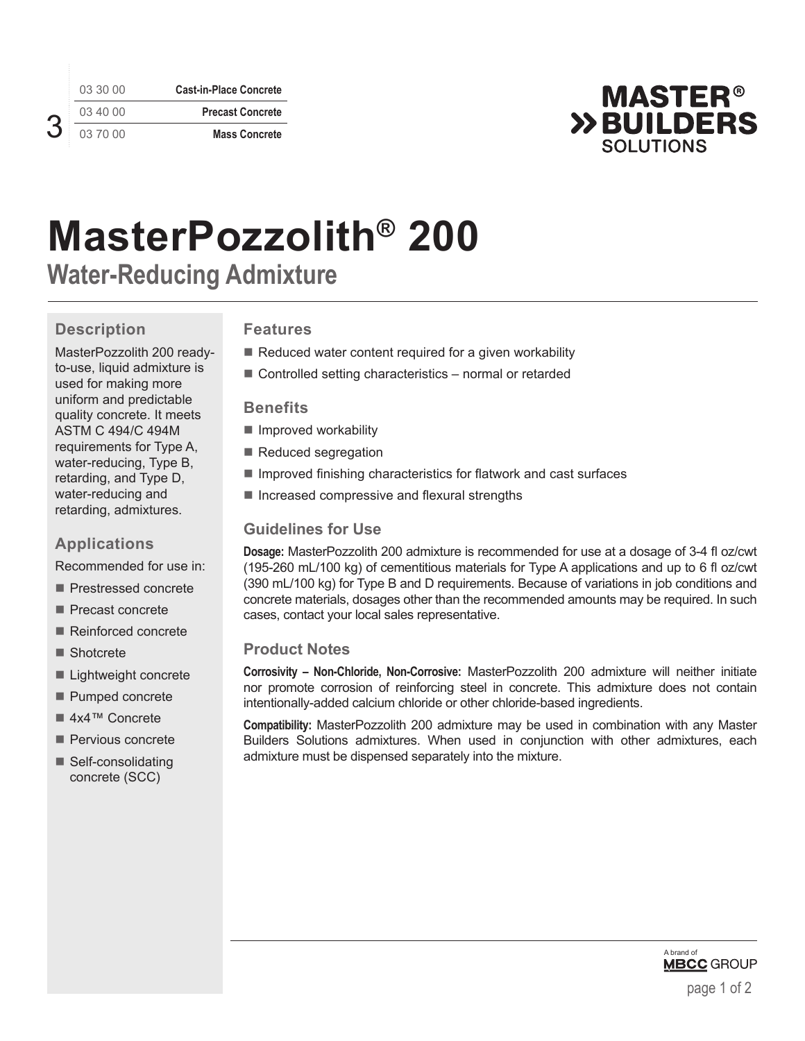03 30 00 **Cast-in-Place Concrete** 03 40 00 **Precast Concrete** 03 70 00 **Mass Concrete**



# **MasterPozzolith® 200**

**Water-Reducing Admixture**

## **Description**

3

MasterPozzolith 200 readyto-use, liquid admixture is used for making more uniform and predictable quality concrete. It meets ASTM C 494/C 494M requirements for Type A, water-reducing, Type B, retarding, and Type D, water-reducing and retarding, admixtures.

## **Applications**

Recommended for use in:

- Prestressed concrete
- Precast concrete
- Reinforced concrete
- Shotcrete
- Lightweight concrete
- Pumped concrete
- 4x4™ Concrete
- Pervious concrete
- Self-consolidating concrete (SCC)

## **Features**

- $\blacksquare$  Reduced water content required for a given workability
- Controlled setting characteristics normal or retarded

#### **Benefits**

- Improved workability
- Reduced segregation
- $\blacksquare$  Improved finishing characteristics for flatwork and cast surfaces
- $\blacksquare$  Increased compressive and flexural strengths

## **Guidelines for Use**

**Dosage:** MasterPozzolith 200 admixture is recommended for use at a dosage of 3-4 fl oz/cwt (195-260 mL/100 kg) of cementitious materials for Type A applications and up to 6 fl oz/cwt (390 mL/100 kg) for Type B and D requirements. Because of variations in job conditions and concrete materials, dosages other than the recommended amounts may be required. In such cases, contact your local sales representative.

#### **Product Notes**

**Corrosivity – Non-Chloride, Non-Corrosive:** MasterPozzolith 200 admixture will neither initiate nor promote corrosion of reinforcing steel in concrete. This admixture does not contain intentionally-added calcium chloride or other chloride-based ingredients.

**Compatibility:** MasterPozzolith 200 admixture may be used in combination with any Master Builders Solutions admixtures. When used in conjunction with other admixtures, each admixture must be dispensed separately into the mixture.